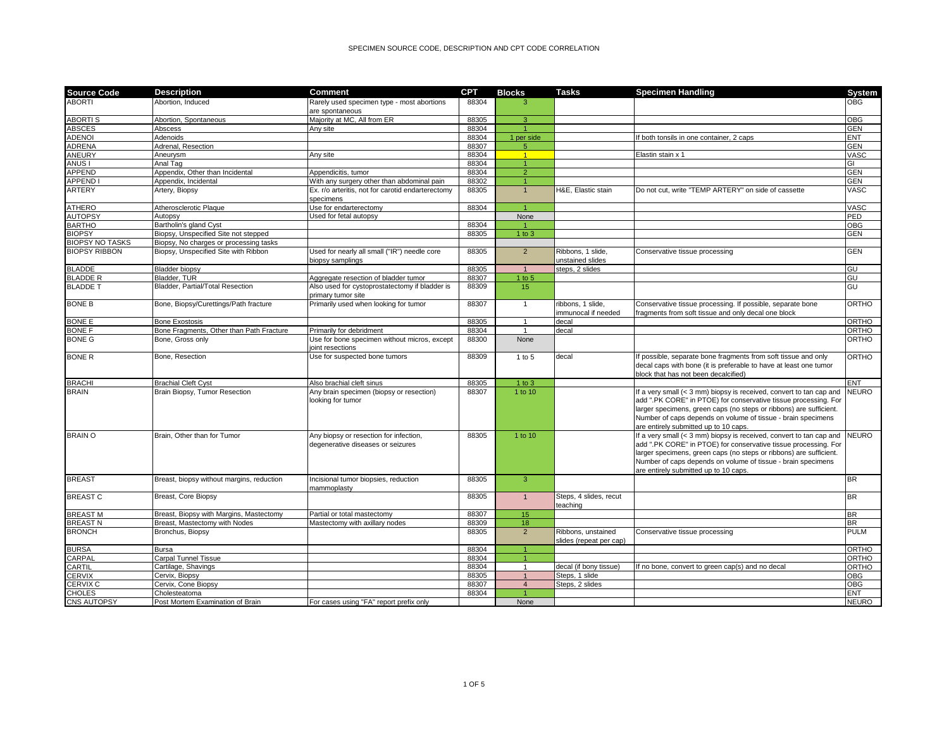| <b>Source Code</b>     | <b>Description</b>                        | <b>Comment</b>                                                              | <b>CPT</b> | <b>Blocks</b>  | <b>Tasks</b>                                  | <b>Specimen Handling</b>                                                                                                                                                                                                                                                                                              | System       |
|------------------------|-------------------------------------------|-----------------------------------------------------------------------------|------------|----------------|-----------------------------------------------|-----------------------------------------------------------------------------------------------------------------------------------------------------------------------------------------------------------------------------------------------------------------------------------------------------------------------|--------------|
| <b>ABORTI</b>          | Abortion. Induced                         | Rarely used specimen type - most abortions<br>are spontaneous               | 88304      | 3              |                                               |                                                                                                                                                                                                                                                                                                                       | <b>OBG</b>   |
| <b>ABORTIS</b>         | Abortion, Spontaneous                     | Majority at MC, All from ER                                                 | 88305      | 3              |                                               |                                                                                                                                                                                                                                                                                                                       | <b>OBG</b>   |
| <b>ABSCES</b>          | Abscess                                   | Any site                                                                    | 88304      |                |                                               |                                                                                                                                                                                                                                                                                                                       | <b>GEN</b>   |
| <b>ADENOI</b>          | Adenoids                                  |                                                                             | 88304      | 1 per side     |                                               | both tonsils in one container, 2 caps                                                                                                                                                                                                                                                                                 | <b>ENT</b>   |
| <b>ADRENA</b>          | Adrenal, Resection                        |                                                                             | 88307      | 5              |                                               |                                                                                                                                                                                                                                                                                                                       | <b>GEN</b>   |
| <b>ANEURY</b>          | Aneurysm                                  | Any site                                                                    | 88304      | $\overline{1}$ |                                               | Elastin stain x 1                                                                                                                                                                                                                                                                                                     | VASC         |
| ANUS I                 | Anal Tag                                  |                                                                             | 88304      |                |                                               |                                                                                                                                                                                                                                                                                                                       | GI           |
| <b>APPEND</b>          | Appendix, Other than Incidental           | Appendicitis, tumor                                                         | 88304      | $\overline{2}$ |                                               |                                                                                                                                                                                                                                                                                                                       | <b>GEN</b>   |
| <b>APPEND</b>          | Appendix, Incidental                      | With any surgery other than abdominal pain                                  | 88302      |                |                                               |                                                                                                                                                                                                                                                                                                                       | <b>GEN</b>   |
| <b>ARTERY</b>          | Artery, Biopsy                            | Ex. r/o arteritis, not for carotid endarterectomy<br>specimens              | 88305      | $\overline{1}$ | H&E, Elastic stain                            | Do not cut, write "TEMP ARTERY" on side of cassette                                                                                                                                                                                                                                                                   | VASC         |
| <b>ATHERO</b>          | Atherosclerotic Plaque                    | Use for endarterectomy                                                      | 88304      | $\overline{1}$ |                                               |                                                                                                                                                                                                                                                                                                                       | VASC         |
| <b>AUTOPSY</b>         | Autopsy                                   | Used for fetal autopsy                                                      |            | None           |                                               |                                                                                                                                                                                                                                                                                                                       | <b>PED</b>   |
| <b>BARTHO</b>          | Bartholin's gland Cyst                    |                                                                             | 88304      |                |                                               |                                                                                                                                                                                                                                                                                                                       | <b>OBG</b>   |
| <b>BIOPSY</b>          | Biopsy, Unspecified Site not stepped      |                                                                             | 88305      | $1$ to $3$     |                                               |                                                                                                                                                                                                                                                                                                                       | <b>GEN</b>   |
| <b>BIOPSY NO TASKS</b> | Biopsy, No charges or processing tasks    |                                                                             |            |                |                                               |                                                                                                                                                                                                                                                                                                                       |              |
| <b>BIOPSY RIBBON</b>   | Biopsy, Unspecified Site with Ribbon      | Used for nearly all small ("IR") needle core<br>biopsy samplings            | 88305      | $\overline{2}$ | Ribbons, 1 slide,<br>unstained slides         | Conservative tissue processing                                                                                                                                                                                                                                                                                        | <b>GEN</b>   |
| <b>BLADDE</b>          | <b>Bladder biopsy</b>                     |                                                                             | 88305      | $\mathbf{1}$   | steps, 2 slides                               |                                                                                                                                                                                                                                                                                                                       | GU           |
| <b>BLADDE R</b>        | Bladder, TUR                              | Aggregate resection of bladder tumor                                        | 88307      | $1$ to $5$     |                                               |                                                                                                                                                                                                                                                                                                                       | GU           |
| <b>BLADDE T</b>        | Bladder, Partial/Total Resection          | Also used for cystoprostatectomy if bladder is<br>primary tumor site        | 88309      | 15             |                                               |                                                                                                                                                                                                                                                                                                                       | GU           |
| <b>BONE B</b>          | Bone, Biopsy/Curettings/Path fracture     | Primarily used when looking for tumor                                       | 88307      | $\mathbf{1}$   | ribbons, 1 slide,<br>immunocal if needed      | Conservative tissue processing. If possible, separate bone<br>ragments from soft tissue and only decal one block                                                                                                                                                                                                      | ORTHO        |
| <b>BONE E</b>          | <b>Bone Exostosis</b>                     |                                                                             | 88305      | $\mathbf{1}$   | decal                                         |                                                                                                                                                                                                                                                                                                                       | ORTHO        |
| <b>BONE F</b>          | Bone Fragments, Other than Path Fracture  | Primarily for debridment                                                    | 88304      | $\mathbf{1}$   | decal                                         |                                                                                                                                                                                                                                                                                                                       | ORTHO        |
| <b>BONE G</b>          | Bone, Gross only                          | Use for bone specimen without micros, except<br>ioint resections            | 88300      | None           |                                               |                                                                                                                                                                                                                                                                                                                       | ORTHO        |
| <b>BONE R</b>          | Bone, Resection                           | Use for suspected bone tumors                                               | 88309      | 1 to 5         | decal                                         | f possible, separate bone fragments from soft tissue and only<br>decal caps with bone (it is preferable to have at least one tumor<br>block that has not been decalcified)                                                                                                                                            | ORTHO        |
| <b>BRACHI</b>          | <b>Brachial Cleft Cyst</b>                | Also brachial cleft sinus                                                   | 88305      | $1$ to $3$     |                                               |                                                                                                                                                                                                                                                                                                                       | ENT          |
| <b>BRAIN</b>           | Brain Biopsy, Tumor Resection             | Any brain specimen (biopsy or resection)<br>looking for tumor               | 88307      | 1 to 10        |                                               | If a very small (< 3 mm) biopsy is received, convert to tan cap and<br>add ".PK CORE" in PTOE) for conservative tissue processing. For<br>larger specimens, green caps (no steps or ribbons) are sufficient.<br>Number of caps depends on volume of tissue - brain specimens<br>are entirely submitted up to 10 caps. | <b>NEURO</b> |
| <b>BRAIN O</b>         | Brain, Other than for Tumor               | Any biopsy or resection for infection,<br>degenerative diseases or seizures | 88305      | 1 to 10        |                                               | If a very small (< 3 mm) biopsy is received, convert to tan cap and<br>add ".PK CORE" in PTOE) for conservative tissue processing. For<br>larger specimens, green caps (no steps or ribbons) are sufficient.<br>Number of caps depends on volume of tissue - brain specimens<br>are entirely submitted up to 10 caps. | <b>NEURO</b> |
| <b>BREAST</b>          | Breast, biopsy without margins, reduction | Incisional tumor biopsies, reduction<br>mammoplasty                         | 88305      | $\overline{3}$ |                                               |                                                                                                                                                                                                                                                                                                                       | <b>BR</b>    |
| <b>BREAST C</b>        | Breast, Core Biopsy                       |                                                                             | 88305      | $\overline{1}$ | Steps, 4 slides, recut<br>teaching            |                                                                                                                                                                                                                                                                                                                       | <b>BR</b>    |
| <b>BREAST M</b>        | Breast, Biopsy with Margins, Mastectomy   | Partial or total mastectomv                                                 | 88307      | 15             |                                               |                                                                                                                                                                                                                                                                                                                       | <b>BR</b>    |
| <b>BREAST N</b>        | Breast, Mastectomy with Nodes             | Mastectomy with axillary nodes                                              | 88309      | 18             |                                               |                                                                                                                                                                                                                                                                                                                       | <b>BR</b>    |
| <b>BRONCH</b>          | Bronchus, Biopsy                          |                                                                             | 88305      | $\overline{2}$ | Ribbons, unstained<br>slides (repeat per cap) | Conservative tissue processing                                                                                                                                                                                                                                                                                        | <b>PULM</b>  |
| <b>BURSA</b>           | <b>Bursa</b>                              |                                                                             | 88304      |                |                                               |                                                                                                                                                                                                                                                                                                                       | ORTHO        |
| CARPAL                 | Carpal Tunnel Tissue                      |                                                                             | 88304      | $\overline{1}$ |                                               |                                                                                                                                                                                                                                                                                                                       | <b>ORTHO</b> |
| CARTIL                 | Cartilage, Shavings                       |                                                                             | 88304      | $\mathbf{1}$   | decal (if bony tissue)                        | f no bone, convert to green cap(s) and no decal                                                                                                                                                                                                                                                                       | ORTHO        |
| <b>CERVIX</b>          | Cervix, Biopsy                            |                                                                             | 88305      | $\mathbf{1}$   | Steps, 1 slide                                |                                                                                                                                                                                                                                                                                                                       | OBG          |
| <b>CERVIX C</b>        | Cervix, Cone Biopsy                       |                                                                             | 88307      | $\overline{4}$ | Steps, 2 slides                               |                                                                                                                                                                                                                                                                                                                       | <b>OBG</b>   |
| <b>CHOLES</b>          | Cholesteatoma                             |                                                                             | 88304      | $\overline{1}$ |                                               |                                                                                                                                                                                                                                                                                                                       | <b>ENT</b>   |
| CNS AUTOPSY            | Post Mortem Examination of Brain          | For cases using "FA" report prefix only                                     |            | None           |                                               |                                                                                                                                                                                                                                                                                                                       | <b>NEURO</b> |
|                        |                                           |                                                                             |            |                |                                               |                                                                                                                                                                                                                                                                                                                       |              |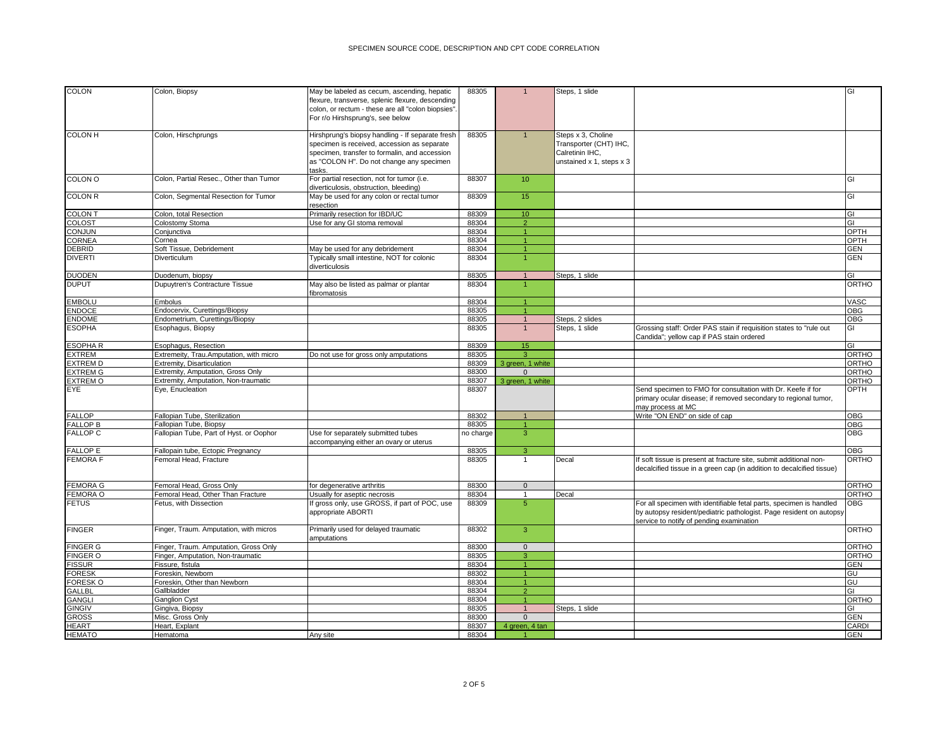| <b>COLON</b>    | Colon, Biopsy                           | May be labeled as cecum, ascending, hepatic<br>flexure, transverse, splenic flexure, descending<br>colon, or rectum - these are all "colon biopsies".<br>For r/o Hirshsprung's, see below              | 88305     | $\mathbf{1}$            | Steps, 1 slide                                                                              |                                                                                                                                                                                        | GI           |
|-----------------|-----------------------------------------|--------------------------------------------------------------------------------------------------------------------------------------------------------------------------------------------------------|-----------|-------------------------|---------------------------------------------------------------------------------------------|----------------------------------------------------------------------------------------------------------------------------------------------------------------------------------------|--------------|
| <b>COLON H</b>  | Colon, Hirschprungs                     | Hirshprung's biopsy handling - If separate fresh<br>specimen is received, accession as separate<br>specimen, transfer to formalin, and accession<br>as "COLON H". Do not change any specimen<br>tasks. | 88305     | $\overline{1}$          | Steps x 3, Choline<br>Transporter (CHT) IHC,<br>Calretinin IHC,<br>unstained x 1, steps x 3 |                                                                                                                                                                                        |              |
| <b>COLON O</b>  | Colon, Partial Resec., Other than Tumor | For partial resection, not for tumor (i.e.<br>diverticulosis, obstruction, bleeding)                                                                                                                   | 88307     | 10                      |                                                                                             |                                                                                                                                                                                        | GI           |
| <b>COLON R</b>  | Colon, Segmental Resection for Tumor    | May be used for any colon or rectal tumor<br>resection                                                                                                                                                 | 88309     | 15                      |                                                                                             |                                                                                                                                                                                        | GI           |
| <b>COLON T</b>  | Colon, total Resection                  | Primarily resection for IBD/UC                                                                                                                                                                         | 88309     | 10 <sup>°</sup>         |                                                                                             |                                                                                                                                                                                        | GI           |
| COLOST          | Colostomy Stoma                         | Use for any GI stoma removal                                                                                                                                                                           | 88304     | $\overline{2}$          |                                                                                             |                                                                                                                                                                                        | GI           |
| <b>CONJUN</b>   | Conjunctiva                             |                                                                                                                                                                                                        | 88304     | $\overline{1}$          |                                                                                             |                                                                                                                                                                                        | OPTH         |
| <b>CORNEA</b>   | Cornea                                  |                                                                                                                                                                                                        | 88304     | $\overline{1}$          |                                                                                             |                                                                                                                                                                                        | OPTH         |
| <b>DEBRID</b>   | Soft Tissue, Debridement                | May be used for any debridement                                                                                                                                                                        | 88304     |                         |                                                                                             |                                                                                                                                                                                        | <b>GEN</b>   |
| <b>DIVERTI</b>  | <b>Diverticulum</b>                     | Typically small intestine, NOT for colonic<br>diverticulosis                                                                                                                                           | 88304     | $\blacktriangleleft$    |                                                                                             |                                                                                                                                                                                        | <b>GEN</b>   |
| <b>DUODEN</b>   | Duodenum, biopsy                        |                                                                                                                                                                                                        | 88305     | $\mathbf{1}$            | Steps, 1 slide                                                                              |                                                                                                                                                                                        | GI           |
| <b>DUPUT</b>    | Dupuytren's Contracture Tissue          | May also be listed as palmar or plantar<br>fibromatosis                                                                                                                                                | 88304     |                         |                                                                                             |                                                                                                                                                                                        | <b>ORTHO</b> |
| <b>EMBOLU</b>   | Embolus                                 |                                                                                                                                                                                                        | 88304     | $\blacktriangleleft$    |                                                                                             |                                                                                                                                                                                        | VASC         |
| <b>ENDOCE</b>   | Endocervix, Curettings/Biopsy           |                                                                                                                                                                                                        | 88305     | $\overline{1}$          |                                                                                             |                                                                                                                                                                                        | <b>OBG</b>   |
| <b>ENDOME</b>   | Endometrium, Curettings/Biopsy          |                                                                                                                                                                                                        | 88305     | $\mathbf{1}$            | Steps, 2 slides                                                                             |                                                                                                                                                                                        | <b>OBG</b>   |
| <b>ESOPHA</b>   | Esophagus, Biopsy                       |                                                                                                                                                                                                        | 88305     | $\mathbf{1}$            | Steps, 1 slide                                                                              | Grossing staff: Order PAS stain if requisition states to "rule out<br>Candida"; yellow cap if PAS stain ordered                                                                        | GI           |
| <b>ESOPHAR</b>  | Esophagus, Resection                    |                                                                                                                                                                                                        | 88309     | 15                      |                                                                                             |                                                                                                                                                                                        | GI           |
| <b>EXTREM</b>   | Extremeity, Trau.Amputation, with micro | Do not use for gross only amputations                                                                                                                                                                  | 88305     | $\overline{\mathbf{z}}$ |                                                                                             |                                                                                                                                                                                        | <b>ORTHO</b> |
| <b>EXTREM D</b> | Extremity, Disarticulation              |                                                                                                                                                                                                        | 88309     | 3 green, 1 white        |                                                                                             |                                                                                                                                                                                        | ORTHO        |
| <b>EXTREM G</b> | Extremity, Amputation, Gross Only       |                                                                                                                                                                                                        | 88300     | $\Omega$                |                                                                                             |                                                                                                                                                                                        | <b>ORTHO</b> |
| <b>EXTREM O</b> | Extremity, Amputation, Non-traumatic    |                                                                                                                                                                                                        | 88307     | 3 green, 1 white        |                                                                                             |                                                                                                                                                                                        | ORTHO        |
| EYE             | Eye, Enucleation                        |                                                                                                                                                                                                        | 88307     |                         |                                                                                             | Send specimen to FMO for consultation with Dr. Keefe if for<br>primary ocular disease; if removed secondary to regional tumor,<br>may process at MC                                    | OPTH         |
| <b>FALLOP</b>   | Fallopian Tube, Sterilization           |                                                                                                                                                                                                        | 88302     | $\mathbf{1}$            |                                                                                             | Write "ON END" on side of cap                                                                                                                                                          | <b>OBG</b>   |
| <b>FALLOP B</b> | Fallopian Tube, Biopsy                  |                                                                                                                                                                                                        | 88305     | $\overline{1}$          |                                                                                             |                                                                                                                                                                                        | <b>OBG</b>   |
| <b>FALLOP C</b> | Fallopian Tube, Part of Hyst. or Oophor | Use for separately submitted tubes<br>accompanying either an ovary or uterus                                                                                                                           | no charge | 3                       |                                                                                             |                                                                                                                                                                                        | <b>OBG</b>   |
| <b>FALLOP E</b> | Fallopain tube, Ectopic Pregnancy       |                                                                                                                                                                                                        | 88305     | 3                       |                                                                                             |                                                                                                                                                                                        | OBG          |
| <b>FEMORA F</b> | Femoral Head, Fracture                  |                                                                                                                                                                                                        | 88305     | $\mathbf{1}$            | Decal                                                                                       | If soft tissue is present at fracture site, submit additional non-<br>decalcified tissue in a green cap (in addition to decalcified tissue)                                            | ORTHO        |
| <b>FEMORA G</b> | Femoral Head, Gross Only                | for degenerative arthritis                                                                                                                                                                             | 88300     | $\mathbf{0}$            |                                                                                             |                                                                                                                                                                                        | ORTHO        |
| <b>FEMORA O</b> | Femoral Head, Other Than Fracture       | Usually for aseptic necrosis                                                                                                                                                                           | 88304     | $\mathbf{1}$            | Decal                                                                                       |                                                                                                                                                                                        | <b>ORTHO</b> |
| <b>FETUS</b>    | Fetus, with Dissection                  | If gross only, use GROSS, if part of POC, use<br>appropriate ABORTI                                                                                                                                    | 88309     | 5 <sub>5</sub>          |                                                                                             | For all specimen with identifiable fetal parts, specimen is handled<br>by autopsy resident/pediatric pathologist. Page resident on autopsy<br>service to notify of pending examination | OBG          |
| <b>FINGER</b>   | Finger, Traum. Amputation, with micros  | Primarily used for delayed traumatic<br>amputations                                                                                                                                                    | 88302     | 3                       |                                                                                             |                                                                                                                                                                                        | ORTHO        |
| <b>FINGER G</b> | Finger, Traum. Amputation, Gross Only   |                                                                                                                                                                                                        | 88300     | $\mathbf{0}$            |                                                                                             |                                                                                                                                                                                        | <b>ORTHO</b> |
| <b>FINGER O</b> | Finger, Amputation, Non-traumatic       |                                                                                                                                                                                                        | 88305     | 3                       |                                                                                             |                                                                                                                                                                                        | <b>ORTHO</b> |
| <b>FISSUR</b>   | Fissure, fistula                        |                                                                                                                                                                                                        | 88304     | $\blacktriangleleft$    |                                                                                             |                                                                                                                                                                                        | <b>GEN</b>   |
| <b>FORESK</b>   | Foreskin, Newborn                       |                                                                                                                                                                                                        | 88302     |                         |                                                                                             |                                                                                                                                                                                        | GU           |
| FORESK O        | Foreskin, Other than Newborn            |                                                                                                                                                                                                        | 88304     | $\blacktriangleleft$    |                                                                                             |                                                                                                                                                                                        | GU           |
| <b>GALLBI</b>   | Gallbladder                             |                                                                                                                                                                                                        | 88304     | $\overline{2}$          |                                                                                             |                                                                                                                                                                                        | GI           |
| <b>GANGLI</b>   | <b>Ganglion Cyst</b>                    |                                                                                                                                                                                                        | 88304     |                         |                                                                                             |                                                                                                                                                                                        | ORTHO        |
| GINGIV          | Gingiva, Biopsy                         |                                                                                                                                                                                                        | 88305     | $\overline{1}$          | Steps, 1 slide                                                                              |                                                                                                                                                                                        | GI           |
| <b>GROSS</b>    | Misc. Gross Only                        |                                                                                                                                                                                                        | 88300     | $\Omega$                |                                                                                             |                                                                                                                                                                                        | <b>GEN</b>   |
| <b>IEART</b>    | Heart, Explant                          |                                                                                                                                                                                                        | 88307     | 4 green, 4 tan          |                                                                                             |                                                                                                                                                                                        | CARDI        |
| <b>HEMATO</b>   | Hematoma                                | Any site                                                                                                                                                                                               | 88304     |                         |                                                                                             |                                                                                                                                                                                        | <b>GEN</b>   |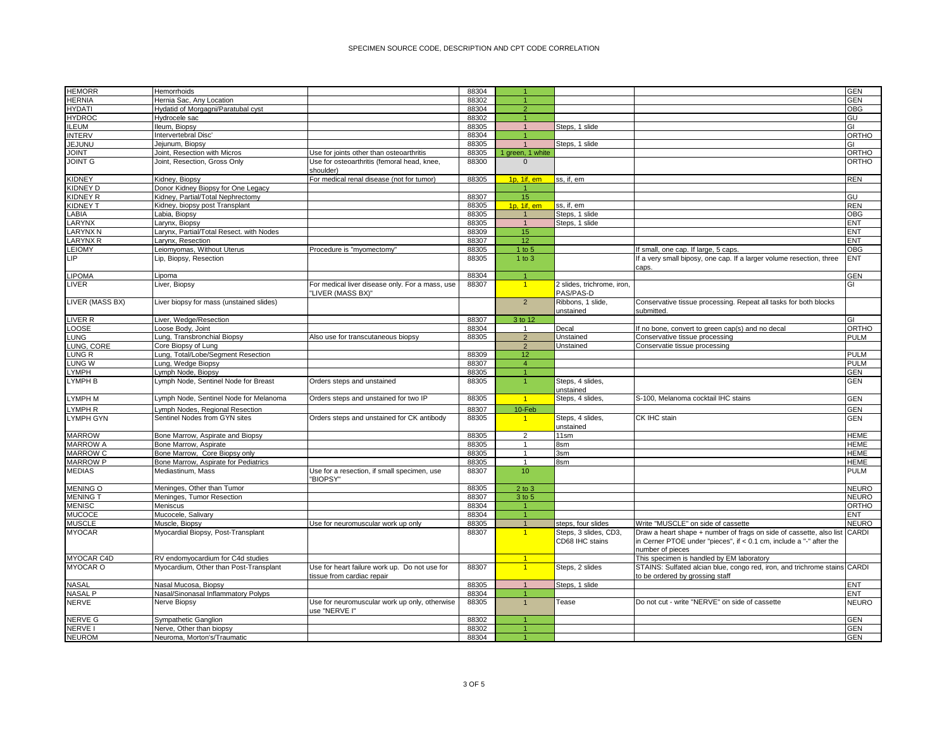| <b>HEMORR</b>     | Hemorrhoids                              |                                                                             | 88304 |                  |                                         |                                                                       | GEN          |
|-------------------|------------------------------------------|-----------------------------------------------------------------------------|-------|------------------|-----------------------------------------|-----------------------------------------------------------------------|--------------|
| <b>HERNIA</b>     | Hernia Sac, Any Location                 |                                                                             | 88302 |                  |                                         |                                                                       | GEN          |
| <b>HYDATI</b>     | Hydatid of Morgagni/Paratubal cyst       |                                                                             | 88304 | $\overline{2}$   |                                         |                                                                       | OBG          |
| <b>HYDROC</b>     | Hydrocele sac                            |                                                                             | 88302 |                  |                                         |                                                                       | GU           |
| <b>ILEUM</b>      | Ileum, Biopsy                            |                                                                             | 88305 | $\overline{1}$   | Steps, 1 slide                          |                                                                       | GI           |
| <b>INTERV</b>     | Intervertebral Disc'                     |                                                                             | 88304 | $\overline{1}$   |                                         |                                                                       | ORTHO        |
| JEJUNU            | Jejunum, Biopsy                          |                                                                             | 88305 | $\overline{1}$   | Steps, 1 slide                          |                                                                       | GI           |
| <b>JOINT</b>      | Joint, Resection with Micros             | Use for joints other than osteoarthritis                                    | 88305 | 1 green, 1 white |                                         |                                                                       | ORTHO        |
| <b>JOINT G</b>    | Joint, Resection, Gross Only             | Use for osteoarthritis (femoral head, knee,                                 | 88300 | $\mathbf{0}$     |                                         |                                                                       | ORTHO        |
|                   |                                          | shoulder)                                                                   |       |                  |                                         |                                                                       |              |
| <b>KIDNEY</b>     | Kidney, Biopsy                           | For medical renal disease (not for tumor)                                   | 88305 | 1p. 1if. em      | ss. if. em                              |                                                                       | <b>REN</b>   |
| <b>KIDNEY D</b>   | Donor Kidney Biopsy for One Legacy       |                                                                             |       |                  |                                         |                                                                       |              |
| <b>KIDNEY R</b>   | Kidney, Partial/Total Nephrectomy        |                                                                             | 88307 | 15               |                                         |                                                                       | GU           |
| <b>KIDNEY T</b>   | Kidney, biopsy post Transplant           |                                                                             | 88305 | 1p, 1if, em      | ss, if, em                              |                                                                       | <b>REN</b>   |
| LABIA             | Labia, Biopsy                            |                                                                             | 88305 |                  | Steps, 1 slide                          |                                                                       | OBG          |
| LARYNX            | Larynx, Biopsy                           |                                                                             | 88305 | $\overline{1}$   | Steps, 1 slide                          |                                                                       | <b>ENT</b>   |
| <b>LARYNX N</b>   | Larynx, Partial/Total Resect. with Nodes |                                                                             | 88309 | 15               |                                         |                                                                       | <b>ENT</b>   |
| <b>LARYNX R</b>   | Larynx, Resection                        |                                                                             | 88307 | 12               |                                         |                                                                       | ENT          |
|                   |                                          |                                                                             |       |                  |                                         |                                                                       |              |
| LEIOMY            | Leiomyomas, Without Uterus               | Procedure is "myomectomy"                                                   | 88305 | 1 to 5           |                                         | If small, one cap. If large, 5 caps                                   | OBG          |
| <b>LIP</b>        | Lip, Biopsy, Resection                   |                                                                             | 88305 | $1$ to $3$       |                                         | If a very small biposy, one cap. If a larger volume resection, three  | ENT          |
|                   |                                          |                                                                             |       |                  |                                         | caps.                                                                 |              |
| LIPOMA            | Lipoma                                   |                                                                             | 88304 |                  |                                         |                                                                       | <b>GEN</b>   |
| LIVER             | Liver, Biopsy                            | For medical liver disease only. For a mass, use<br>"LIVER (MASS BX)"        | 88307 | $\overline{1}$   | 2 slides, trichrome, iron,<br>PAS/PAS-D |                                                                       | GI           |
| LIVER (MASS BX)   | Liver biopsy for mass (unstained slides) |                                                                             |       | $\overline{2}$   | Ribbons, 1 slide,                       | Conservative tissue processing. Repeat all tasks for both blocks      |              |
|                   |                                          |                                                                             |       |                  | unstained                               | submitted.                                                            |              |
| LIVER R           | Liver, Wedge/Resection                   |                                                                             | 88307 | 3 to 12          |                                         |                                                                       | GI           |
| <b>LOOSE</b>      | Loose Body, Joint                        |                                                                             | 88304 | 1                | Decal                                   | If no bone, convert to green cap(s) and no decal                      | ORTHO        |
| <b>LUNG</b>       | Lung, Transbronchial Biopsy              | Also use for transcutaneous biopsy                                          | 88305 | $\overline{2}$   | Unstained                               | Conservative tissue processing                                        | PULM         |
| LUNG, CORE        | Core Biopsy of Lung                      |                                                                             |       | $\overline{2}$   | Unstained                               | Conservatie tissue processing                                         |              |
| LUNG R            | Lung, Total/Lobe/Segment Resection       |                                                                             | 88309 | 12               |                                         |                                                                       | PULM         |
| LUNG W            | Lung, Wedge Biopsy                       |                                                                             | 88307 | $\overline{4}$   |                                         |                                                                       | PULM         |
| <b>LYMPH</b>      | ymph Node, Biopsy                        |                                                                             | 88305 | $\overline{1}$   |                                         |                                                                       | <b>GEN</b>   |
| LYMPH B           | Lymph Node, Sentinel Node for Breast     | Orders steps and unstained                                                  | 88305 | $\overline{1}$   | Steps, 4 slides,                        |                                                                       | <b>GEN</b>   |
|                   |                                          |                                                                             |       |                  | unstained                               |                                                                       |              |
| <b>LYMPH M</b>    | Lymph Node, Sentinel Node for Melanoma   | Orders steps and unstained for two IP                                       | 88305 | $\overline{1}$   | Steps, 4 slides,                        | S-100, Melanoma cocktail IHC stains                                   | <b>GEN</b>   |
| YMPH R            | ymph Nodes, Regional Resection           |                                                                             | 88307 | 10-Feb           |                                         |                                                                       | GEN          |
| LYMPH GYN         | Sentinel Nodes from GYN sites            | Orders steps and unstained for CK antibody                                  | 88305 | $\overline{1}$   | Steps, 4 slides,                        | CK IHC stain                                                          | <b>GEN</b>   |
|                   |                                          |                                                                             |       |                  | unstained                               |                                                                       |              |
| <b>MARROW</b>     | Bone Marrow, Aspirate and Biopsy         |                                                                             | 88305 | $\overline{2}$   | 11sm                                    |                                                                       | <b>HEME</b>  |
| <b>MARROW A</b>   | Bone Marrow, Aspirate                    |                                                                             | 88305 | $\mathbf{1}$     | 8sm                                     |                                                                       | HEME         |
| <b>MARROW C</b>   | Bone Marrow, Core Biopsy only            |                                                                             | 88305 | $\mathbf{1}$     | 3sm                                     |                                                                       | HEME         |
| <b>MARROW P</b>   | Bone Marrow, Aspirate for Pediatrics     |                                                                             | 88305 | $\mathbf{1}$     | 8sm                                     |                                                                       | <b>HEME</b>  |
| <b>MEDIAS</b>     | Mediastinum, Mass                        | Use for a resection, if small specimen, use                                 | 88307 | 10               |                                         |                                                                       | PULM         |
|                   |                                          | "BIOPSY"                                                                    |       |                  |                                         |                                                                       |              |
| <b>MENING O</b>   | Meninges, Other than Tumor               |                                                                             | 88305 | $2$ to $3$       |                                         |                                                                       | NEURO        |
| <b>MENING T</b>   | Meninges, Tumor Resection                |                                                                             | 88307 | 3 to 5           |                                         |                                                                       | NEURO        |
| <b>MENISC</b>     | Meniscus                                 |                                                                             | 88304 |                  |                                         |                                                                       | ORTHO        |
| <b>MUCOCE</b>     | Mucocele, Salivary                       |                                                                             | 88304 | $\overline{1}$   |                                         |                                                                       | ENT          |
| <b>MUSCLE</b>     | Muscle, Biopsy                           | Use for neuromuscular work up only                                          | 88305 | $\overline{1}$   | steps, four slides                      | Write "MUSCLE" on side of cassette                                    | <b>NEURO</b> |
| <b>MYOCAR</b>     | Myocardial Biopsy, Post-Transplant       |                                                                             | 88307 | $\overline{1}$   | Steps, 3 slides, CD3,                   | Draw a heart shape + number of frags on side of cassette, also list   | CARDI        |
|                   |                                          |                                                                             |       |                  | CD68 IHC stains                         | in Cerner PTOE under "pieces", if $< 0.1$ cm, include a "-" after the |              |
| <b>MYOCAR C4D</b> | RV endomyocardium for C4d studies        |                                                                             |       | $\overline{1}$   |                                         | number of pieces<br>This specimen is handled by EM laboratory         |              |
| <b>MYOCAR O</b>   |                                          |                                                                             |       | $\overline{1}$   |                                         | STAINS: Sulfated alcian blue, congo red, iron, and trichrome stains   | CARDI        |
|                   | Myocardium, Other than Post-Transplant   | Use for heart failure work up. Do not use for<br>tissue from cardiac repair | 88307 |                  | Steps, 2 slides                         | to be ordered by grossing staff                                       |              |
| <b>NASAL</b>      | Nasal Mucosa, Biopsy                     |                                                                             | 88305 | $\mathbf{1}$     | Steps, 1 slide                          |                                                                       | <b>ENT</b>   |
| <b>NASAL P</b>    | Nasal/Sinonasal Inflammatory Polyps      |                                                                             | 88304 | -1               |                                         |                                                                       | ENT          |
| <b>NERVE</b>      | Nerve Biopsy                             | Use for neuromuscular work up only, otherwise                               | 88305 | $\overline{1}$   | Tease                                   | Do not cut - write "NERVE" on side of cassette                        | <b>NEURO</b> |
|                   |                                          | use "NERVE I"                                                               |       |                  |                                         |                                                                       |              |
| <b>NERVE G</b>    | Sympathetic Ganglion                     |                                                                             | 88302 |                  |                                         |                                                                       | GEN          |
| <b>NERVE I</b>    | Nerve, Other than biopsy                 |                                                                             | 88302 | $\overline{1}$   |                                         |                                                                       | <b>GEN</b>   |
| <b>NEUROM</b>     | Neuroma, Morton's/Traumatic              |                                                                             | 88304 |                  |                                         |                                                                       | <b>GEN</b>   |
|                   |                                          |                                                                             |       |                  |                                         |                                                                       |              |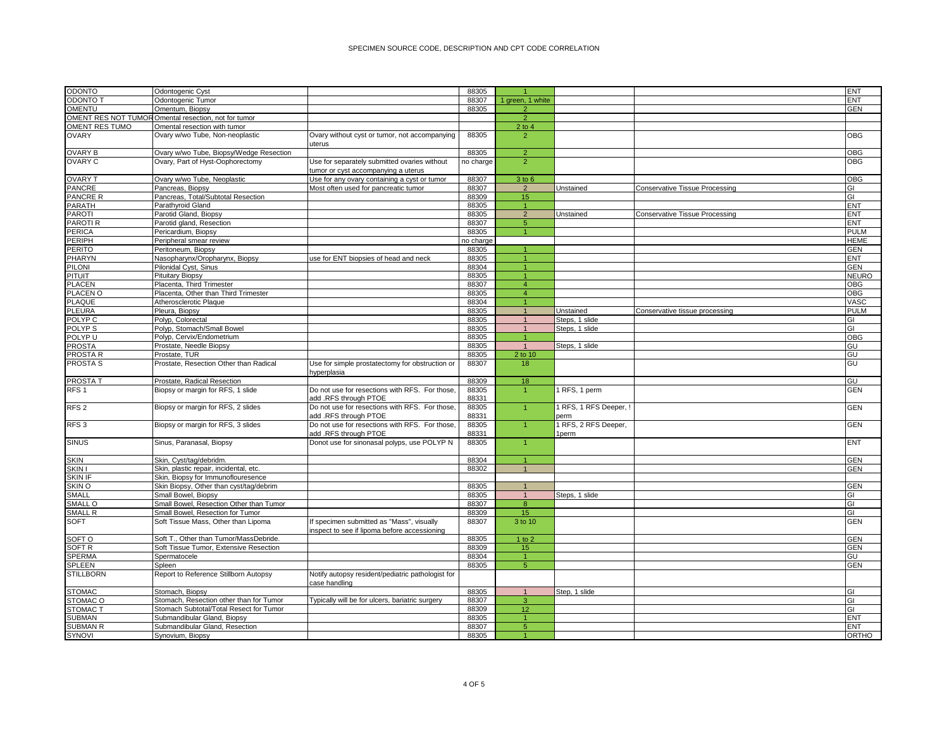| ODONTO              | Odontogenic Cyst                                     |                                                                                           | 88305     |                      |                        |                                       | ENT          |
|---------------------|------------------------------------------------------|-------------------------------------------------------------------------------------------|-----------|----------------------|------------------------|---------------------------------------|--------------|
| <b>ODONTO T</b>     | Odontogenic Tumor                                    |                                                                                           | 88307     | 1 green, 1 white     |                        |                                       | <b>ENT</b>   |
| OMENTU              | Omentum, Biopsy                                      |                                                                                           | 88305     | $\overline{2}$       |                        |                                       | <b>GEN</b>   |
|                     | OMENT RES NOT TUMOR Omental resection, not for tumor |                                                                                           |           | $\overline{2}$       |                        |                                       |              |
| OMENT RES TUMO      | Omental resection with tumor                         |                                                                                           |           | $2$ to 4             |                        |                                       |              |
| <b>OVARY</b>        | Ovary w/wo Tube, Non-neoplastic                      | Ovary without cyst or tumor, not accompanying                                             | 88305     | $\overline{2}$       |                        |                                       | OBG          |
| OVARY B             | Ovary w/wo Tube, Biopsy/Wedge Resection              | uterus                                                                                    | 88305     | $\overline{2}$       |                        |                                       | OBG          |
| OVARY C             | Ovary, Part of Hyst-Oophorectomy                     | Use for separately submitted ovaries without                                              | no charge | $\overline{2}$       |                        |                                       | OBG          |
|                     |                                                      | tumor or cyst accompanying a uterus                                                       |           |                      |                        |                                       |              |
| <b>OVARY T</b>      | Ovary w/wo Tube, Neoplastic                          | Use for any ovary containing a cyst or tumor                                              | 88307     | 3 to 6               |                        |                                       | OBG          |
| PANCRE              | Pancreas, Biopsy                                     | Most often used for pancreatic tumor                                                      | 88307     | $\overline{2}$       | Unstained              | <b>Conservative Tissue Processing</b> | GI           |
| PANCRE R            | Pancreas, Total/Subtotal Resection                   |                                                                                           | 88309     | 15                   |                        |                                       | GI           |
| PARATH              | Parathvroid Gland                                    |                                                                                           | 88305     | $\overline{1}$       |                        |                                       | <b>ENT</b>   |
| PAROTI              | Parotid Gland, Biopsy                                |                                                                                           | 88305     | $\overline{2}$       | Unstained              | <b>Conservative Tissue Processing</b> | <b>ENT</b>   |
| PAROTI <sub>R</sub> | Parotid gland, Resection                             |                                                                                           | 88307     | 5 <sub>5</sub>       |                        |                                       | <b>ENT</b>   |
| PERICA              | Pericardium, Biopsy                                  |                                                                                           | 88305     | $\overline{1}$       |                        |                                       | <b>PULM</b>  |
| PERIPH              | Peripheral smear review                              |                                                                                           | no charge |                      |                        |                                       | <b>HEME</b>  |
| PERITO              | Peritoneum, Biopsy                                   |                                                                                           | 88305     |                      |                        |                                       | <b>GEN</b>   |
| PHARYN              | Nasopharynx/Oropharynx, Biopsy                       | use for ENT biopsies of head and neck                                                     | 88305     |                      |                        |                                       | <b>ENT</b>   |
| PILONI              | Pilonidal Cyst, Sinus                                |                                                                                           | 88304     | $\blacktriangleleft$ |                        |                                       | <b>GEN</b>   |
| PITUIT              | <b>Pituitary Biopsy</b>                              |                                                                                           | 88305     | $\overline{1}$       |                        |                                       | <b>NEURO</b> |
| PLACEN              | Placenta, Third Trimester                            |                                                                                           | 88307     | $\overline{4}$       |                        |                                       | <b>OBG</b>   |
| PLACEN O            | Placenta, Other than Third Trimester                 |                                                                                           | 88305     | $\overline{4}$       |                        |                                       | OBG          |
| PLAQUE              | Atherosclerotic Plaque                               |                                                                                           | 88304     | $\overline{1}$       |                        |                                       | VASC         |
| PLEURA              | Pleura, Biopsy                                       |                                                                                           | 88305     | $\overline{1}$       | Unstained              | Conservative tissue processing        | PULM         |
| POLYP <sub>C</sub>  | Polyp, Colorectal                                    |                                                                                           | 88305     | $\overline{1}$       | Steps, 1 slide         |                                       | GI           |
| POLYP <sub>S</sub>  | Polyp, Stomach/Small Bowel                           |                                                                                           | 88305     |                      | Steps, 1 slide         |                                       | GI           |
| POLYP U             | Polyp, Cervix/Endometrium                            |                                                                                           | 88305     | -1                   |                        |                                       | OBG          |
| PROSTA              | Prostate, Needle Biopsy                              |                                                                                           | 88305     | $\overline{1}$       | Steps, 1 slide         |                                       | GU           |
| PROSTA R            | Prostate, TUR                                        |                                                                                           | 88305     | 2 to 10              |                        |                                       | GU           |
| PROSTA <sub>S</sub> | Prostate, Resection Other than Radical               | Use for simple prostatectomy for obstruction or                                           | 88307     | 18                   |                        |                                       | GU           |
|                     |                                                      | hyperplasia                                                                               |           |                      |                        |                                       |              |
| PROSTA T            | Prostate, Radical Resection                          |                                                                                           | 88309     | 18                   |                        |                                       | GU           |
| RFS 1               | Biopsy or margin for RFS, 1 slide                    | Do not use for resections with RFS. For those,                                            | 88305     | $\overline{1}$       | 1 RFS, 1 perm          |                                       | <b>GEN</b>   |
|                     |                                                      | add .RFS through PTOE                                                                     | 88331     |                      |                        |                                       |              |
| RFS <sub>2</sub>    | Biopsy or margin for RFS, 2 slides                   | Do not use for resections with RFS. For those.                                            | 88305     | $\overline{1}$       | 1 RFS, 1 RFS Deeper, ! |                                       | <b>GEN</b>   |
|                     |                                                      | add .RFS through PTOE                                                                     | 88331     |                      | perm                   |                                       |              |
| RFS <sub>3</sub>    | Biopsy or margin for RFS, 3 slides                   | Do not use for resections with RFS. For those,                                            | 88305     | $\overline{1}$       | 1 RFS, 2 RFS Deeper,   |                                       | <b>GEN</b>   |
|                     |                                                      | add .RFS through PTOE                                                                     | 88331     |                      | lperm                  |                                       |              |
| <b>SINUS</b>        | Sinus, Paranasal, Biopsy                             | Donot use for sinonasal polyps, use POLYP N                                               | 88305     |                      |                        |                                       | <b>ENT</b>   |
| <b>SKIN</b>         | Skin, Cyst/tag/debridm.                              |                                                                                           | 88304     | $\overline{1}$       |                        |                                       | <b>GEN</b>   |
| SKIN I              | Skin, plastic repair, incidental, etc.               |                                                                                           | 88302     | $\overline{1}$       |                        |                                       | <b>GEN</b>   |
| <b>SKIN IF</b>      | Skin, Biopsy for Immunoflouresence                   |                                                                                           |           |                      |                        |                                       |              |
| SKIN O              | Skin Biopsy, Other than cyst/tag/debrim              |                                                                                           | 88305     | $\overline{1}$       |                        |                                       | <b>GEN</b>   |
| SMALL               | Small Bowel, Biopsy                                  |                                                                                           | 88305     | $\overline{1}$       | Steps, 1 slide         |                                       | GI           |
| SMALL O             | Small Bowel, Resection Other than Tumor              |                                                                                           | 88307     | 8                    |                        |                                       | GI           |
| SMALL R             | Small Bowel, Resection for Tumor                     |                                                                                           | 88309     | 15                   |                        |                                       | GI           |
| SOFT                | Soft Tissue Mass, Other than Lipoma                  |                                                                                           | 88307     | 3 to 10              |                        |                                       | <b>GEN</b>   |
|                     |                                                      | If specimen submitted as "Mass", visually<br>inspect to see if lipoma before accessioning |           |                      |                        |                                       |              |
| SOFT O              | Soft T., Other than Tumor/MassDebride.               |                                                                                           | 88305     | $1$ to $2$           |                        |                                       | <b>GEN</b>   |
| SOFT <sub>R</sub>   | Soft Tissue Tumor, Extensive Resection               |                                                                                           | 88309     | 15 <sub>15</sub>     |                        |                                       | <b>GEN</b>   |
| SPERMA              | Spermatocele                                         |                                                                                           | 88304     | $\mathbf{1}$         |                        |                                       | GU           |
| SPLEEN              | Spleen                                               |                                                                                           | 88305     | $\overline{5}$       |                        |                                       | GEN          |
| STILLBORN           | Report to Reference Stillborn Autopsy                | Notify autopsy resident/pediatric pathologist for                                         |           |                      |                        |                                       |              |
| <b>STOMAC</b>       | Stomach, Biopsy                                      | case handling                                                                             | 88305     |                      | Step, 1 slide          |                                       | GI           |
| STOMAC O            | Stomach, Resection other than for Tumor              | Typically will be for ulcers, bariatric surgery                                           | 88307     | 3                    |                        |                                       | GI           |
| STOMAC <sub>T</sub> | Stomach Subtotal/Total Resect for Tumor              |                                                                                           | 88309     | 12                   |                        |                                       | GI           |
| SUBMAN              | Submandibular Gland, Biopsy                          |                                                                                           | 88305     | $\blacktriangleleft$ |                        |                                       | ENT          |
| SUBMAN R            | Submandibular Gland, Resection                       |                                                                                           | 88307     | $\overline{5}$       |                        |                                       | <b>ENT</b>   |
| SYNOVI              | Synovium, Biopsy                                     |                                                                                           | 88305     |                      |                        |                                       | ORTHO        |
|                     |                                                      |                                                                                           |           |                      |                        |                                       |              |